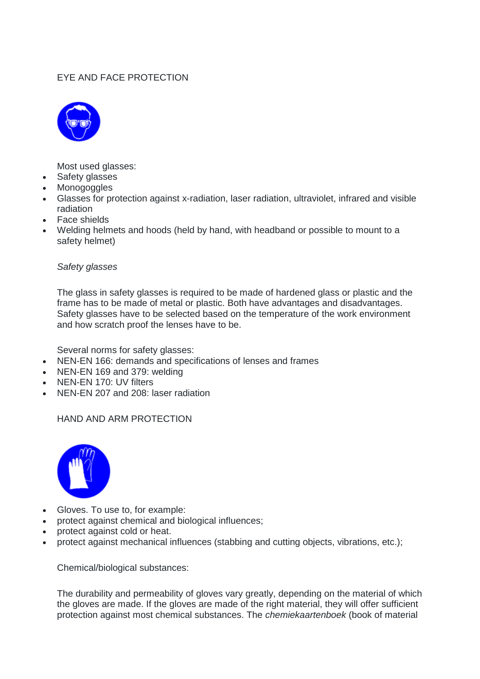### EYE AND FACE PROTECTION



Most used glasses:

- Safety glasses
- **Monogoggles**
- Glasses for protection against x-radiation, laser radiation, ultraviolet, infrared and visible radiation
- Face shields
- Welding helmets and hoods (held by hand, with headband or possible to mount to a safety helmet)

#### *Safety glasses*

The glass in safety glasses is required to be made of hardened glass or plastic and the frame has to be made of metal or plastic. Both have advantages and disadvantages. Safety glasses have to be selected based on the temperature of the work environment and how scratch proof the lenses have to be.

Several norms for safety glasses:

- NEN-EN 166: demands and specifications of lenses and frames
- NEN-EN 169 and 379: welding
- NEN-EN 170: UV filters
- NEN-EN 207 and 208: laser radiation

HAND AND ARM PROTECTION



- Gloves. To use to, for example:
- protect against chemical and biological influences;
- protect against cold or heat.
- protect against mechanical influences (stabbing and cutting objects, vibrations, etc.);

Chemical/biological substances:

The durability and permeability of gloves vary greatly, depending on the material of which the gloves are made. If the gloves are made of the right material, they will offer sufficient protection against most chemical substances. The *chemiekaartenboek* (book of material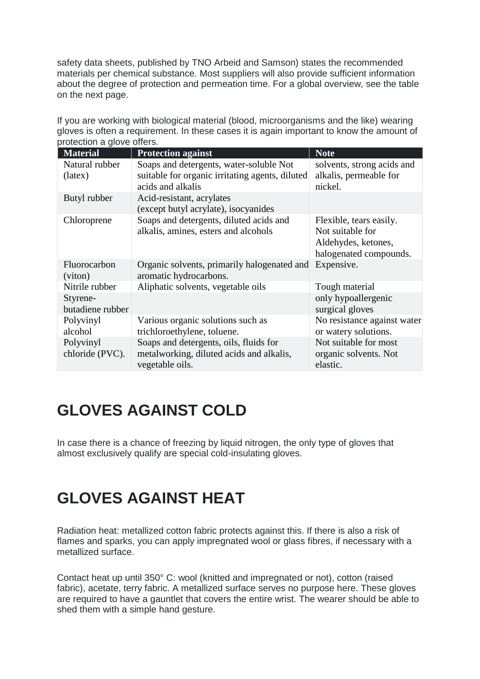safety data sheets, published by TNO Arbeid and Samson) states the recommended materials per chemical substance. Most suppliers will also provide sufficient information about the degree of protection and permeation time. For a global overview, see the table on the next page.

If you are working with biological material (blood, microorganisms and the like) wearing gloves is often a requirement. In these cases it is again important to know the amount of protection a glove offers.

| <b>Material</b>              | <b>Protection against</b>                                                                             | <b>Note</b>                                                                                  |
|------------------------------|-------------------------------------------------------------------------------------------------------|----------------------------------------------------------------------------------------------|
| Natural rubber               | Soaps and detergents, water-soluble Not                                                               | solvents, strong acids and                                                                   |
| (lates)                      | suitable for organic irritating agents, diluted                                                       | alkalis, permeable for                                                                       |
|                              | acids and alkalis                                                                                     | nickel.                                                                                      |
| Butyl rubber                 | Acid-resistant, acrylates                                                                             |                                                                                              |
|                              | (except butyl acrylate), isocyanides                                                                  |                                                                                              |
| Chloroprene                  | Soaps and detergents, diluted acids and<br>alkalis, amines, esters and alcohols                       | Flexible, tears easily.<br>Not suitable for<br>Aldehydes, ketones,<br>halogenated compounds. |
| Fluorocarbon<br>(viton)      | Organic solvents, primarily halogenated and<br>aromatic hydrocarbons.                                 | Expensive.                                                                                   |
| Nitrile rubber               | Aliphatic solvents, vegetable oils                                                                    | Tough material                                                                               |
| Styrene-                     |                                                                                                       | only hypoallergenic                                                                          |
| butadiene rubber             |                                                                                                       | surgical gloves                                                                              |
| Polyvinyl                    | Various organic solutions such as                                                                     | No resistance against water                                                                  |
| alcohol                      | trichloroethylene, toluene.                                                                           | or watery solutions.                                                                         |
| Polyvinyl<br>chloride (PVC). | Soaps and detergents, oils, fluids for<br>metalworking, diluted acids and alkalis,<br>vegetable oils. | Not suitable for most<br>organic solvents. Not<br>elastic.                                   |

### **GLOVES AGAINST COLD**

In case there is a chance of freezing by liquid nitrogen, the only type of gloves that almost exclusively qualify are special cold-insulating gloves.

# **GLOVES AGAINST HEAT**

Radiation heat: metallized cotton fabric protects against this. If there is also a risk of flames and sparks, you can apply impregnated wool or glass fibres, if necessary with a metallized surface.

Contact heat up until 350° C: wool (knitted and impregnated or not), cotton (raised fabric), acetate, terry fabric. A metallized surface serves no purpose here. These gloves are required to have a gauntlet that covers the entire wrist. The wearer should be able to shed them with a simple hand gesture.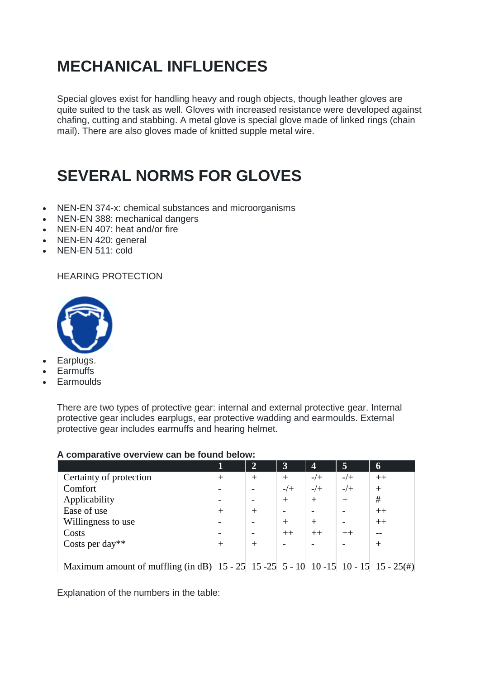# **MECHANICAL INFLUENCES**

Special gloves exist for handling heavy and rough objects, though leather gloves are quite suited to the task as well. Gloves with increased resistance were developed against chafing, cutting and stabbing. A metal glove is special glove made of linked rings (chain mail). There are also gloves made of knitted supple metal wire.

### **SEVERAL NORMS FOR GLOVES**

- NEN-EN 374-x: chemical substances and microorganisms
- NEN-EN 388: mechanical dangers
- NEN-EN 407: heat and/or fire
- NEN-EN 420: general
- NEN-EN 511: cold

#### HEARING PROTECTION



- Earplugs.
- **Earmuffs**
- **Earmoulds**

There are two types of protective gear: internal and external protective gear. Internal protective gear includes earplugs, ear protective wadding and earmoulds. External protective gear includes earmuffs and hearing helmet.

|                                                                                                      | 1    | $\mathbf{2}$ | $\overline{\mathbf{3}}$ | $\overline{\mathbf{4}}$ | 5      | 6      |
|------------------------------------------------------------------------------------------------------|------|--------------|-------------------------|-------------------------|--------|--------|
| Certainty of protection                                                                              | $^+$ |              | $^{+}$                  | $-/+$                   | $-/+$  | $++$   |
| Comfort                                                                                              |      |              | $-/+$                   | $-/+$                   | $-/+$  | $^{+}$ |
| Applicability                                                                                        |      |              | $^{+}$                  | $^{+}$                  | $^{+}$ | #      |
| Ease of use                                                                                          | $^+$ | $^+$         |                         |                         |        | $++$   |
| Willingness to use                                                                                   |      |              | $^{+}$                  | $+$                     |        | $++$   |
| Costs                                                                                                |      |              | $++$                    | $++$                    | $++$   |        |
| Costs per day**                                                                                      | $^+$ | $^+$         |                         |                         |        |        |
|                                                                                                      |      |              |                         |                         |        |        |
| Maximum amount of muffling (in dB) $15 - 25$ $15 - 25$ $5 - 10$ $10 - 15$ $10 - 15$ $15 - 25$ $\#$ ) |      |              |                         |                         |        |        |

#### **A comparative overview can be found below:**

Explanation of the numbers in the table: